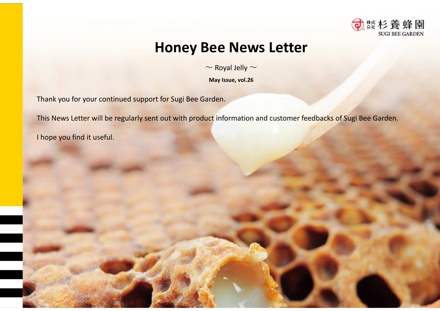

## **Honey Bee News Letter**

 $\sim$  Royal Jelly  $\sim$ 

**May Issue, vol.26**

Thank you for your continued support for Sugi Bee Garden.

This News Letter will be regularly sent out with product information and customer feedbacks of Sugi Bee Garden.

I hope you find it useful.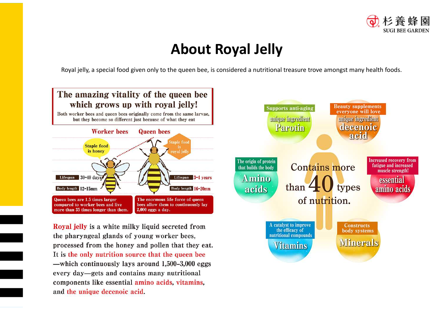

# **About Royal Jelly**

Royal jelly, a special food given only to the queen bee, is considered a nutritional treasure trove amongst many health foods.



components like essential amino acids, vitamins, and the unique decenoic acid.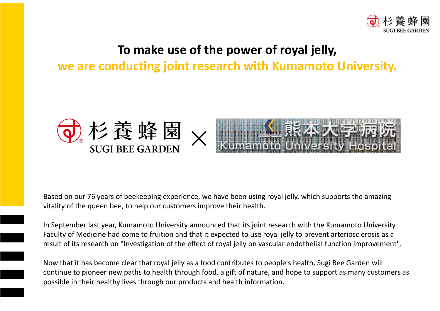

### **To make use of the power of royal jelly,**

**we are conducting joint research with Kumamoto University.**



Based on our 76 years of beekeeping experience, we have been using royal jelly, which supports the amazing vitality of the queen bee, to help our customers improve their health.

result of its research on "Investigation of the effect of royal jelly on vascular endothelial function improvement".<br> nearty of the queen use, to help our excerners improve their nearth.<br>In September last year, Kumamoto University announced that its joint research with the Kumamoto University Faculty of Medicine had come to fruition and that it expected to use royal jelly to prevent arteriosclerosis as a

Ξ

resuit or its research on "investigation or the effect or royar jelly on vascular endotheliar function improven<br>Now that it has become clear that royal jelly as a food contributes to people's health, Sugi Bee Garden will continue to pioneer new paths to health through food, a gift of nature, and hope to support as many customers as possible in their healthy lives through our products and health information.